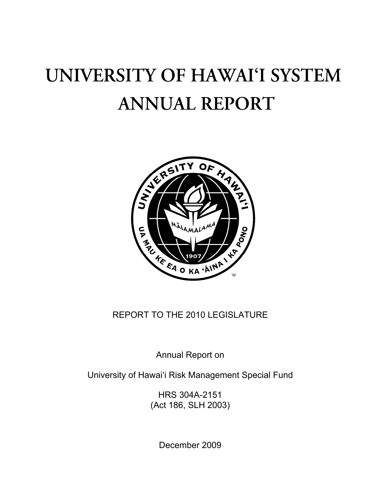# UNIVERSITY OF HAWAI'I SYSTEM **ANNUAL REPORT**



### REPORT TO THE 2010 LEGISLATURE

Annual Report on

University of Hawai'i Risk Management Special Fund

HRS 304A-2151 (Act 186, SLH 2003)

December 2009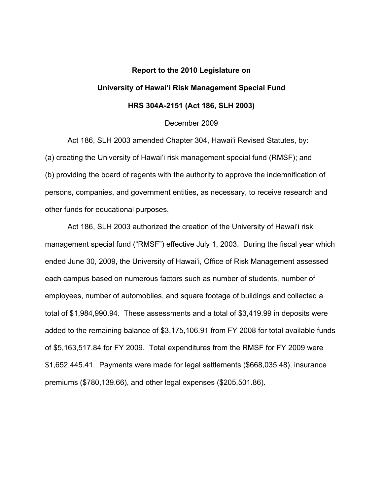## **Report to the 2010 Legislature on University of Hawaiʻi Risk Management Special Fund HRS 304A-2151 (Act 186, SLH 2003)**

#### December 2009

Act 186, SLH 2003 amended Chapter 304, Hawai'i Revised Statutes, by: (a) creating the University of Hawaiʻi risk management special fund (RMSF); and (b) providing the board of regents with the authority to approve the indemnification of persons, companies, and government entities, as necessary, to receive research and other funds for educational purposes.

 Act 186, SLH 2003 authorized the creation of the University of Hawaiʻi risk management special fund ("RMSF") effective July 1, 2003. During the fiscal year which ended June 30, 2009, the University of Hawaiʻi, Office of Risk Management assessed each campus based on numerous factors such as number of students, number of employees, number of automobiles, and square footage of buildings and collected a total of \$1,984,990.94. These assessments and a total of \$3,419.99 in deposits were added to the remaining balance of \$3,175,106.91 from FY 2008 for total available funds of \$5,163,517.84 for FY 2009. Total expenditures from the RMSF for FY 2009 were \$1,652,445.41. Payments were made for legal settlements (\$668,035.48), insurance premiums (\$780,139.66), and other legal expenses (\$205,501.86).